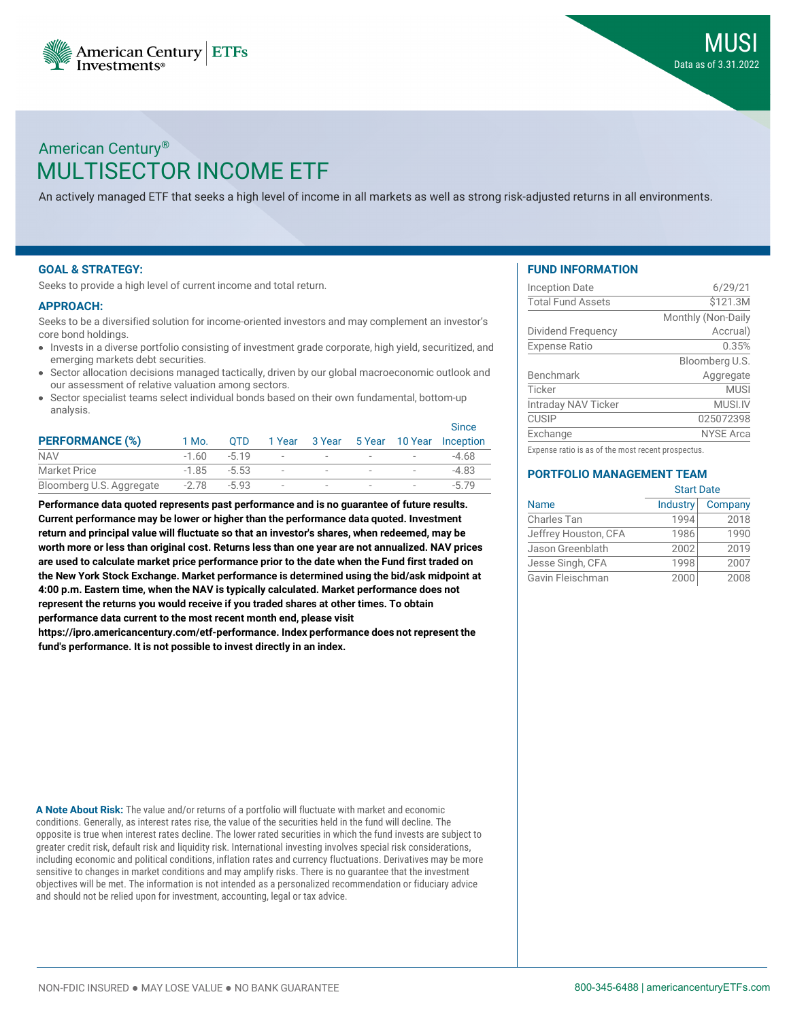



# MULTISECTOR INCOME ETF American Century®

An actively managed ETF that seeks a high level of income in all markets as well as strong risk-adjusted returns in all environments.

### **GOAL & STRATEGY:**

Seeks to provide a high level of current income and total return.

#### **APPROACH:**

Seeks to be a diversified solution for income-oriented investors and may complement an investor's core bond holdings.

- Invests in a diverse portfolio consisting of investment grade corporate, high yield, securitized, and emerging markets debt securities.
- Sector allocation decisions managed tactically, driven by our global macroeconomic outlook and our assessment of relative valuation among sectors.
- Sector specialist teams select individual bonds based on their own fundamental, bottom-up analysis.

|                          |         | OTD.     |                          |                          |                          |                          | <b>Since</b><br>1 Year 3 Year 5 Year 10 Year Inception |
|--------------------------|---------|----------|--------------------------|--------------------------|--------------------------|--------------------------|--------------------------------------------------------|
| <b>PERFORMANCE (%)</b>   | 1 Mo.   |          |                          |                          |                          |                          |                                                        |
| <b>NAV</b>               | $-1.60$ | $-5, 19$ | $\overline{\phantom{0}}$ | $\overline{\phantom{a}}$ | $\overline{\phantom{a}}$ | $\overline{\phantom{a}}$ | -4.68                                                  |
| <b>Market Price</b>      | $-1.85$ | -5.53    | $\overline{\phantom{m}}$ |                          | $\,$                     | $\overline{\phantom{a}}$ | $-4.83$                                                |
| Bloomberg U.S. Aggregate | $-2.78$ | $-5.93$  | $\overline{\phantom{a}}$ |                          | $\,$                     | $\overline{\phantom{a}}$ |                                                        |

**Performance data quoted represents past performance and is no guarantee of future results. Current performance may be lower or higher than the performance data quoted. Investment return and principal value will fluctuate so that an investor's shares, when redeemed, may be worth more or less than original cost. Returns less than one year are not annualized. NAV prices are used to calculate market price performance prior to the date when the Fund first traded on the New York Stock Exchange. Market performance is determined using the bid/ask midpoint at 4:00 p.m. Eastern time, when the NAV is typically calculated. Market performance does not represent the returns you would receive if you traded shares at other times. To obtain performance data current to the most recent month end, please visit**

**https://ipro.americancentury.com/etf-performance. Index performance does not represent the fund's performance. It is not possible to invest directly in an index.**

**A Note About Risk:** The value and/or returns of a portfolio will fluctuate with market and economic conditions. Generally, as interest rates rise, the value of the securities held in the fund will decline. The opposite is true when interest rates decline. The lower rated securities in which the fund invests are subject to greater credit risk, default risk and liquidity risk. International investing involves special risk considerations, including economic and political conditions, inflation rates and currency fluctuations. Derivatives may be more sensitive to changes in market conditions and may amplify risks. There is no guarantee that the investment objectives will be met. The information is not intended as a personalized recommendation or fiduciary advice and should not be relied upon for investment, accounting, legal or tax advice.

### **FUND INFORMATION**

| <b>Inception Date</b>    | 6/29/21            |
|--------------------------|--------------------|
| <b>Total Fund Assets</b> | \$121.3M           |
|                          | Monthly (Non-Daily |
| Dividend Frequency       | Accrual)           |
| <b>Expense Ratio</b>     | 0.35%              |
|                          | Bloomberg U.S.     |
| <b>Benchmark</b>         | Aggregate          |
| Ticker                   | <b>MUSI</b>        |
| Intraday NAV Ticker      | MUSI.IV            |
| <b>CUSIP</b>             | 025072398          |
| Exchange                 | <b>NYSE Arca</b>   |
|                          |                    |

Expense ratio is as of the most recent prospectus.

### **PORTFOLIO MANAGEMENT TEAM**

|                      | <b>Start Date</b> |         |  |  |
|----------------------|-------------------|---------|--|--|
| <b>Name</b>          | Industry          | Company |  |  |
| Charles Tan          | 1994              | 2018    |  |  |
| Jeffrey Houston, CFA | 1986              | 1990    |  |  |
| Jason Greenblath     | 2002              | 2019    |  |  |
| Jesse Singh, CFA     | 1998              | 2007    |  |  |
| Gavin Fleischman     | 2000              | 2008    |  |  |